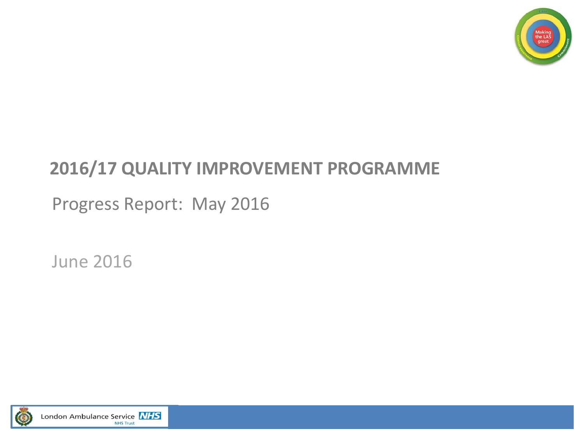

### **2016/17 QUALITY IMPROVEMENT PROGRAMME**

Progress Report: May 2016

June 2016

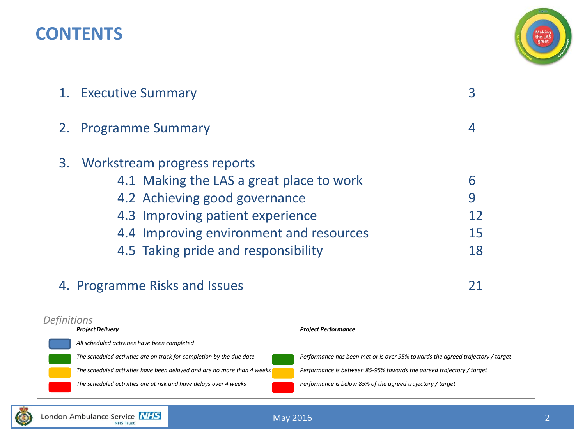### **CONTENTS**



| 1. Executive Summary                                                                                                                                                                                                              |                    |
|-----------------------------------------------------------------------------------------------------------------------------------------------------------------------------------------------------------------------------------|--------------------|
| 2. Programme Summary                                                                                                                                                                                                              |                    |
| 3. Workstream progress reports<br>4.1 Making the LAS a great place to work<br>4.2 Achieving good governance<br>4.3 Improving patient experience<br>4.4 Improving environment and resources<br>4.5 Taking pride and responsibility | 6<br>9<br>15<br>18 |
|                                                                                                                                                                                                                                   |                    |

### 4. Programme Risks and Issues 21

*Project Delivery Project Performance All scheduled activities have been completed The scheduled activities are on track for completion by the due date Performance has been met or is over 95% towards the agreed trajectory / target The scheduled activities have been delayed and are no more than 4 weeks Performance is between 85-95% towards the agreed trajectory / target The scheduled activities are at risk and have delays over 4 weeks Performance is below 85% of the agreed trajectory / target Definitions*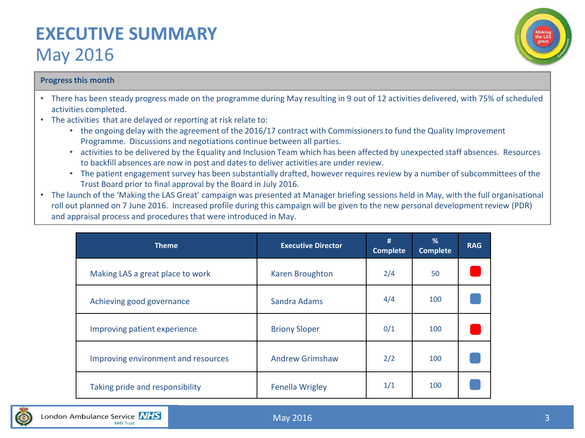### **EXECUTIVE SUMMARY**  May 2016



#### **Progress this month**

- There has been steady progress made on the programme during May resulting in 9 out of 12 activities delivered, with 75% of scheduled activities completed.
- The activities that are delayed or reporting at risk relate to:
	- the ongoing delay with the agreement of the 2016/17 contract with Commissioners to fund the Quality Improvement Programme. Discussions and negotiations continue between all parties.
	- activities to be delivered by the Equality and Inclusion Team which has been affected by unexpected staff absences. Resources to backfill absences are now in post and dates to deliver activities are under review.
	- The patient engagement survey has been substantially drafted, however requires review by a number of subcommittees of the Trust Board prior to final approval by the Board in July 2016.
- The launch of the 'Making the LAS Great' campaign was presented at Manager briefing sessions held in May, with the full organisational roll out planned on 7 June 2016. Increased profile during this campaign will be given to the new personal development review (PDR) and appraisal process and procedures that were introduced in May.

| <b>Theme</b>                        | <b>Executive Director</b> | #<br><b>Complete</b> | %<br><b>Complete</b> | <b>RAG</b> |
|-------------------------------------|---------------------------|----------------------|----------------------|------------|
| Making LAS a great place to work    | <b>Karen Broughton</b>    | 2/4                  | 50                   |            |
| Achieving good governance           | Sandra Adams              | 4/4                  | 100                  |            |
| Improving patient experience        | <b>Briony Sloper</b>      | 0/1                  | 100                  |            |
| Improving environment and resources | <b>Andrew Grimshaw</b>    | 2/2                  | 100                  |            |
| Taking pride and responsibility     | <b>Fenella Wrigley</b>    | 1/1                  | 100                  |            |

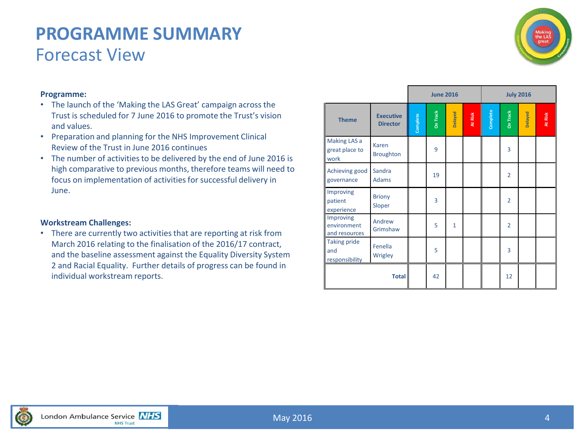### **PROGRAMME SUMMARY** Forecast View



#### **Programme:**

- The launch of the 'Making the LAS Great' campaign across the Trust is scheduled for 7 June 2016 to promote the Trust's vision and values.
- Preparation and planning for the NHS Improvement Clinical Review of the Trust in June 2016 continues
- The number of activities to be delivered by the end of June 2016 is high comparative to previous months, therefore teams will need to focus on implementation of activities for successful delivery in June.

#### **Workstream Challenges:**

• There are currently two activities that are reporting at risk from March 2016 relating to the finalisation of the 2016/17 contract, and the baseline assessment against the Equality Diversity System 2 and Racial Equality. Further details of progress can be found in individual workstream reports.

|                                              |                                     |          | <b>June 2016</b> |              |              | <b>July 2016</b> |                 |         |         |  |  |
|----------------------------------------------|-------------------------------------|----------|------------------|--------------|--------------|------------------|-----------------|---------|---------|--|--|
| <b>Theme</b>                                 | <b>Executive</b><br><b>Director</b> | Complete | <b>On Track</b>  | Delayed      | At Risk<br>ı | Complete         | <b>On Track</b> | Delayed | At Risk |  |  |
| Making LAS a<br>great place to<br>work       | Karen<br><b>Broughton</b>           |          | 9                |              |              |                  | 3               |         |         |  |  |
| Achieving good<br>governance                 | Sandra<br><b>Adams</b>              |          | 19               |              |              |                  | $\overline{2}$  |         |         |  |  |
| Improving<br>patient<br>experience           | <b>Briony</b><br>Sloper             |          | 3                |              |              |                  | $\overline{2}$  |         |         |  |  |
| Improving<br>environment<br>and resources    | Andrew<br>Grimshaw                  |          | 5                | $\mathbf{1}$ |              |                  | $\overline{2}$  |         |         |  |  |
| <b>Taking pride</b><br>and<br>responsibility | Fenella<br>Wrigley                  |          | 5                |              |              |                  | 3               |         |         |  |  |
|                                              |                                     | 42       |                  |              |              | 12               |                 |         |         |  |  |

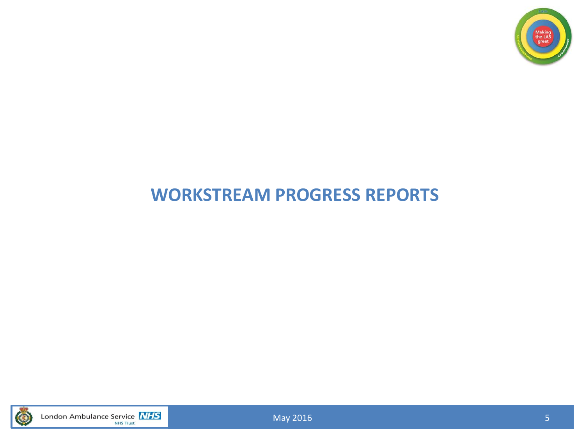

### **WORKSTREAM PROGRESS REPORTS**



London Ambulance Service **NHS**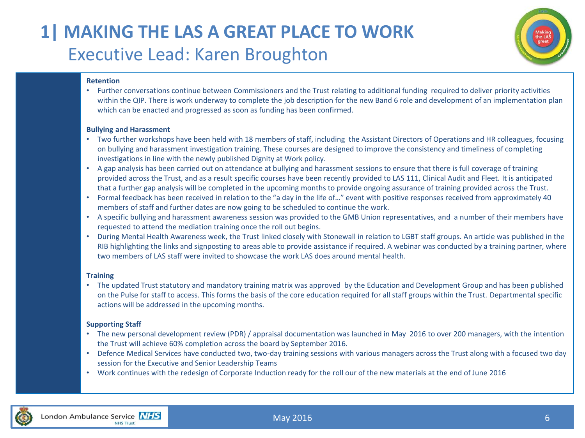### **1| MAKING THE LAS A GREAT PLACE TO WORK** Executive Lead: Karen Broughton



#### **Retention**

• Further conversations continue between Commissioners and the Trust relating to additional funding required to deliver priority activities within the QIP. There is work underway to complete the job description for the new Band 6 role and development of an implementation plan which can be enacted and progressed as soon as funding has been confirmed.

#### **Bullying and Harassment**

- Two further workshops have been held with 18 members of staff, including the Assistant Directors of Operations and HR colleagues, focusing on bullying and harassment investigation training. These courses are designed to improve the consistency and timeliness of completing investigations in line with the newly published Dignity at Work policy.
- A gap analysis has been carried out on attendance at bullying and harassment sessions to ensure that there is full coverage of training provided across the Trust, and as a result specific courses have been recently provided to LAS 111, Clinical Audit and Fleet. It is anticipated that a further gap analysis will be completed in the upcoming months to provide ongoing assurance of training provided across the Trust.
- Formal feedback has been received in relation to the "a day in the life of…" event with positive responses received from approximately 40 members of staff and further dates are now going to be scheduled to continue the work.
- A specific bullying and harassment awareness session was provided to the GMB Union representatives, and a number of their members have requested to attend the mediation training once the roll out begins.
- During Mental Health Awareness week, the Trust linked closely with Stonewall in relation to LGBT staff groups. An article was published in the RIB highlighting the links and signposting to areas able to provide assistance if required. A webinar was conducted by a training partner, where two members of LAS staff were invited to showcase the work LAS does around mental health.

#### **Training**

• The updated Trust statutory and mandatory training matrix was approved by the Education and Development Group and has been published on the Pulse for staff to access. This forms the basis of the core education required for all staff groups within the Trust. Departmental specific actions will be addressed in the upcoming months.

#### **Supporting Staff**

- The new personal development review (PDR) / appraisal documentation was launched in May 2016 to over 200 managers, with the intention the Trust will achieve 60% completion across the board by September 2016.
- Defence Medical Services have conducted two, two-day training sessions with various managers across the Trust along with a focused two day session for the Executive and Senior Leadership Teams
- Work continues with the redesign of Corporate Induction ready for the roll our of the new materials at the end of June 2016

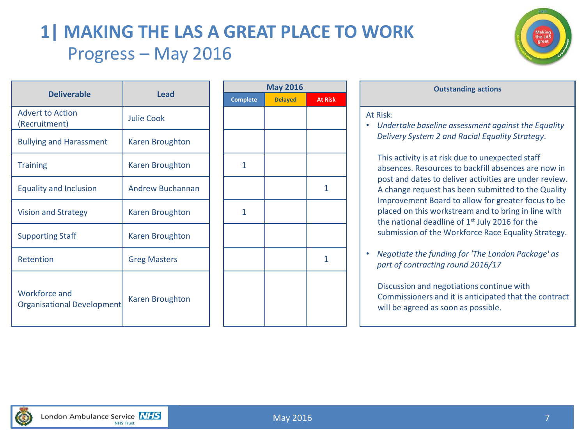### **1| MAKING THE LAS A GREAT PLACE TO WORK** Progress – May 2016



|                                                    | <b>Lead</b>         |  |                 | <b>May 2016</b> |                |                             |
|----------------------------------------------------|---------------------|--|-----------------|-----------------|----------------|-----------------------------|
| <b>Deliverable</b>                                 |                     |  | <b>Complete</b> | <b>Delayed</b>  | <b>At Risk</b> |                             |
| <b>Advert to Action</b><br>(Recruitment)           | <b>Julie Cook</b>   |  |                 |                 |                | At Risk:<br><b>Und</b><br>۰ |
| <b>Bullying and Harassment</b>                     | Karen Broughton     |  |                 |                 |                | Deliy                       |
| <b>Training</b>                                    | Karen Broughton     |  | $\mathbf{1}$    |                 |                | <b>This</b><br>abse         |
| <b>Equality and Inclusion</b>                      | Andrew Buchannan    |  |                 |                 | 1              | post<br>A ch                |
| <b>Vision and Strategy</b>                         | Karen Broughton     |  | 1               |                 |                | Imp<br>plac<br>the          |
| <b>Supporting Staff</b>                            | Karen Broughton     |  |                 |                 |                | subr                        |
| Retention                                          | <b>Greg Masters</b> |  |                 |                 | 1              | Neg<br>part                 |
| <b>Workforce and</b><br>Organisational Development | Karen Broughton     |  |                 |                 |                | <b>Disc</b><br>Com<br>will  |

| <b>May 2016</b> |                |                |  |  |  |  |  |  |  |  |  |
|-----------------|----------------|----------------|--|--|--|--|--|--|--|--|--|
| Complete        | <b>Delayed</b> | <b>At Risk</b> |  |  |  |  |  |  |  |  |  |
|                 |                |                |  |  |  |  |  |  |  |  |  |
|                 |                |                |  |  |  |  |  |  |  |  |  |
| $\mathbf 1$     |                |                |  |  |  |  |  |  |  |  |  |
|                 |                | $\mathbf{1}$   |  |  |  |  |  |  |  |  |  |
| $\overline{1}$  |                |                |  |  |  |  |  |  |  |  |  |
|                 |                |                |  |  |  |  |  |  |  |  |  |
|                 |                | 1              |  |  |  |  |  |  |  |  |  |
|                 |                |                |  |  |  |  |  |  |  |  |  |
|                 |                |                |  |  |  |  |  |  |  |  |  |
|                 |                |                |  |  |  |  |  |  |  |  |  |

| <b>May 2016</b> |                | <b>Outstanding actions</b>                                                                                             |  |  |  |  |  |
|-----------------|----------------|------------------------------------------------------------------------------------------------------------------------|--|--|--|--|--|
| <b>Delayed</b>  | <b>At Risk</b> |                                                                                                                        |  |  |  |  |  |
|                 |                | At Risk:<br>Undertake baseline assessment against the Equality<br>0<br>Delivery System 2 and Racial Equality Strategy. |  |  |  |  |  |
|                 |                | This activity is at risk due to unexpected staff<br>absences. Resources to backfill absences are now in                |  |  |  |  |  |
|                 |                | post and dates to deliver activities are under review.<br>A change request has been submitted to the Quality           |  |  |  |  |  |
|                 |                | Improvement Board to allow for greater focus to be<br>placed on this workstream and to bring in line with              |  |  |  |  |  |

• *Negotiate the funding for 'The London Package' as part of contracting round 2016/17*

submission of the Workforce Race Equality Strategy.

the national deadline of  $1<sup>st</sup>$  July 2016 for the

Discussion and negotiations continue with Commissioners and it is anticipated that the contract will be agreed as soon as possible.

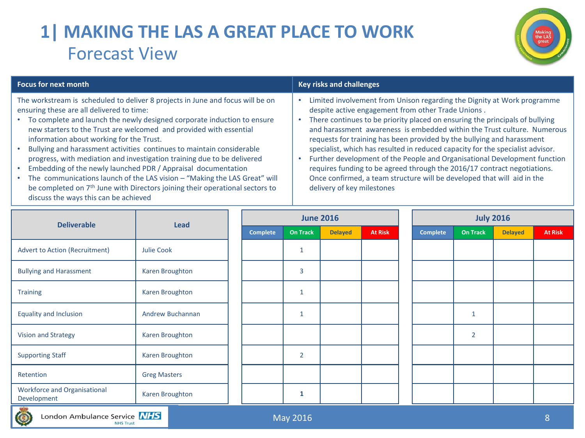# **1| MAKING THE LAS A GREAT PLACE TO WORK** Forecast View



The workstream is scheduled to deliver 8 projects in June and focus will be on ensuring these are all delivered to time:

- To complete and launch the newly designed corporate induction to ensure new starters to the Trust are welcomed and provided with essential information about working for the Trust.
- Bullying and harassment activities continues to maintain considerable progress, with mediation and investigation training due to be delivered
- Embedding of the newly launched PDR / Appraisal documentation
- The communications launch of the LAS vision "Making the LAS Great" will be completed on 7<sup>th</sup> June with Directors joining their operational sectors to discuss the ways this can be achieved

#### **Focus for next month Key risks and challenges**

- Limited involvement from Unison regarding the Dignity at Work programme despite active engagement from other Trade Unions .
- There continues to be priority placed on ensuring the principals of bullying and harassment awareness is embedded within the Trust culture. Numerous requests for training has been provided by the bullying and harassment specialist, which has resulted in reduced capacity for the specialist advisor.
- Further development of the People and Organisational Development function requires funding to be agreed through the 2016/17 contract negotiations. Once confirmed, a team structure will be developed that will aid in the delivery of key milestones

| <b>Deliverable</b>                                 | Lead                |                 |                 | <b>June 2016</b> |                | <b>July 2016</b> |                 |                |                |  |
|----------------------------------------------------|---------------------|-----------------|-----------------|------------------|----------------|------------------|-----------------|----------------|----------------|--|
|                                                    |                     | <b>Complete</b> | <b>On Track</b> | <b>Delayed</b>   | <b>At Risk</b> | <b>Complete</b>  | <b>On Track</b> | <b>Delayed</b> | <b>At Risk</b> |  |
| <b>Advert to Action (Recruitment)</b>              | Julie Cook          |                 | 1               |                  |                |                  |                 |                |                |  |
| <b>Bullying and Harassment</b>                     | Karen Broughton     |                 | 3               |                  |                |                  |                 |                |                |  |
| <b>Training</b>                                    | Karen Broughton     |                 | 1               |                  |                |                  |                 |                |                |  |
| <b>Equality and Inclusion</b>                      | Andrew Buchannan    |                 | $\mathbf{1}$    |                  |                |                  | $\mathbf{1}$    |                |                |  |
| <b>Vision and Strategy</b>                         | Karen Broughton     |                 |                 |                  |                |                  | $\overline{2}$  |                |                |  |
| <b>Supporting Staff</b>                            | Karen Broughton     |                 | $\overline{2}$  |                  |                |                  |                 |                |                |  |
| Retention                                          | <b>Greg Masters</b> |                 |                 |                  |                |                  |                 |                |                |  |
| <b>Workforce and Organisational</b><br>Development | Karen Broughton     |                 | 1               |                  |                |                  |                 |                |                |  |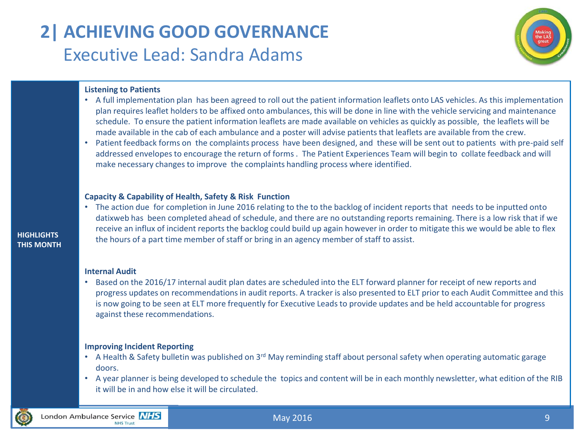# **2| ACHIEVING GOOD GOVERNANCE** Executive Lead: Sandra Adams



#### **Listening to Patients**

- A full implementation plan has been agreed to roll out the patient information leaflets onto LAS vehicles. As this implementation plan requires leaflet holders to be affixed onto ambulances, this will be done in line with the vehicle servicing and maintenance schedule. To ensure the patient information leaflets are made available on vehicles as quickly as possible, the leaflets will be made available in the cab of each ambulance and a poster will advise patients that leaflets are available from the crew.
- Patient feedback forms on the complaints process have been designed, and these will be sent out to patients with pre-paid self addressed envelopes to encourage the return of forms . The Patient Experiences Team will begin to collate feedback and will make necessary changes to improve the complaints handling process where identified.

#### **Capacity & Capability of Health, Safety & Risk Function**

• The action due for completion in June 2016 relating to the to the backlog of incident reports that needs to be inputted onto datixweb has been completed ahead of schedule, and there are no outstanding reports remaining. There is a low risk that if we receive an influx of incident reports the backlog could build up again however in order to mitigate this we would be able to flex the hours of a part time member of staff or bring in an agency member of staff to assist.

#### **HIGHLIGHTS THIS MONTH**

#### **Internal Audit**

• Based on the 2016/17 internal audit plan dates are scheduled into the ELT forward planner for receipt of new reports and progress updates on recommendations in audit reports. A tracker is also presented to ELT prior to each Audit Committee and this is now going to be seen at ELT more frequently for Executive Leads to provide updates and be held accountable for progress against these recommendations.

#### **Improving Incident Reporting**

- A Health & Safety bulletin was published on 3<sup>rd</sup> May reminding staff about personal safety when operating automatic garage doors.
- A year planner is being developed to schedule the topics and content will be in each monthly newsletter, what edition of the RIB it will be in and how else it will be circulated.

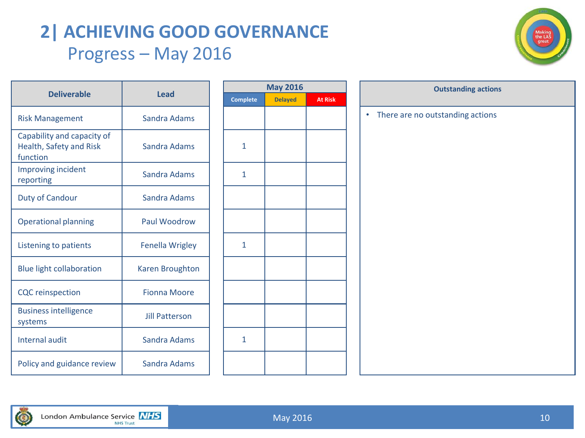### **2| ACHIEVING GOOD GOVERNANCE** Progress – May 2016



|                                                                   |                       |  |                 | <b>May 2016</b> |                | <b>Outstanding action</b>                     |
|-------------------------------------------------------------------|-----------------------|--|-----------------|-----------------|----------------|-----------------------------------------------|
| <b>Deliverable</b>                                                | <b>Lead</b>           |  | <b>Complete</b> | <b>Delayed</b>  | <b>At Risk</b> |                                               |
| <b>Risk Management</b>                                            | Sandra Adams          |  |                 |                 |                | There are no outstanding actions<br>$\bullet$ |
| Capability and capacity of<br>Health, Safety and Risk<br>function | Sandra Adams          |  | $\mathbf{1}$    |                 |                |                                               |
| Improving incident<br>reporting                                   | Sandra Adams          |  | $\mathbf{1}$    |                 |                |                                               |
| <b>Duty of Candour</b>                                            | Sandra Adams          |  |                 |                 |                |                                               |
| <b>Operational planning</b>                                       | Paul Woodrow          |  |                 |                 |                |                                               |
| Listening to patients                                             | Fenella Wrigley       |  | $\mathbf{1}$    |                 |                |                                               |
| <b>Blue light collaboration</b>                                   | Karen Broughton       |  |                 |                 |                |                                               |
| <b>CQC</b> reinspection                                           | <b>Fionna Moore</b>   |  |                 |                 |                |                                               |
| <b>Business intelligence</b><br>systems                           | <b>Jill Patterson</b> |  |                 |                 |                |                                               |
| Internal audit                                                    | Sandra Adams          |  | 1               |                 |                |                                               |
| Policy and guidance review                                        | Sandra Adams          |  |                 |                 |                |                                               |

| <b>May 2016</b> |                |  |  |  |  |  |  |  |  |  |  |
|-----------------|----------------|--|--|--|--|--|--|--|--|--|--|
| <b>Delayed</b>  | <b>At Risk</b> |  |  |  |  |  |  |  |  |  |  |
|                 |                |  |  |  |  |  |  |  |  |  |  |
|                 |                |  |  |  |  |  |  |  |  |  |  |
|                 |                |  |  |  |  |  |  |  |  |  |  |
|                 |                |  |  |  |  |  |  |  |  |  |  |
|                 |                |  |  |  |  |  |  |  |  |  |  |
|                 |                |  |  |  |  |  |  |  |  |  |  |
|                 |                |  |  |  |  |  |  |  |  |  |  |
|                 |                |  |  |  |  |  |  |  |  |  |  |
|                 |                |  |  |  |  |  |  |  |  |  |  |
|                 |                |  |  |  |  |  |  |  |  |  |  |
|                 |                |  |  |  |  |  |  |  |  |  |  |
|                 |                |  |  |  |  |  |  |  |  |  |  |
|                 |                |  |  |  |  |  |  |  |  |  |  |
|                 |                |  |  |  |  |  |  |  |  |  |  |
|                 |                |  |  |  |  |  |  |  |  |  |  |
|                 |                |  |  |  |  |  |  |  |  |  |  |
|                 |                |  |  |  |  |  |  |  |  |  |  |
|                 |                |  |  |  |  |  |  |  |  |  |  |
|                 |                |  |  |  |  |  |  |  |  |  |  |

| <b>May 2016</b> |                | <b>Outstanding actions</b>            |  |  |  |  |  |  |  |  |  |
|-----------------|----------------|---------------------------------------|--|--|--|--|--|--|--|--|--|
| <b>Delayed</b>  | <b>At Risk</b> |                                       |  |  |  |  |  |  |  |  |  |
|                 |                | There are no outstanding actions<br>٠ |  |  |  |  |  |  |  |  |  |
|                 |                |                                       |  |  |  |  |  |  |  |  |  |
|                 |                |                                       |  |  |  |  |  |  |  |  |  |
|                 |                |                                       |  |  |  |  |  |  |  |  |  |
|                 |                |                                       |  |  |  |  |  |  |  |  |  |
|                 |                |                                       |  |  |  |  |  |  |  |  |  |
|                 |                |                                       |  |  |  |  |  |  |  |  |  |
|                 |                |                                       |  |  |  |  |  |  |  |  |  |
|                 |                |                                       |  |  |  |  |  |  |  |  |  |
|                 |                |                                       |  |  |  |  |  |  |  |  |  |
|                 |                |                                       |  |  |  |  |  |  |  |  |  |
|                 |                |                                       |  |  |  |  |  |  |  |  |  |
|                 |                |                                       |  |  |  |  |  |  |  |  |  |
|                 |                |                                       |  |  |  |  |  |  |  |  |  |
|                 |                |                                       |  |  |  |  |  |  |  |  |  |
|                 |                |                                       |  |  |  |  |  |  |  |  |  |
|                 |                |                                       |  |  |  |  |  |  |  |  |  |
|                 |                |                                       |  |  |  |  |  |  |  |  |  |
|                 |                |                                       |  |  |  |  |  |  |  |  |  |

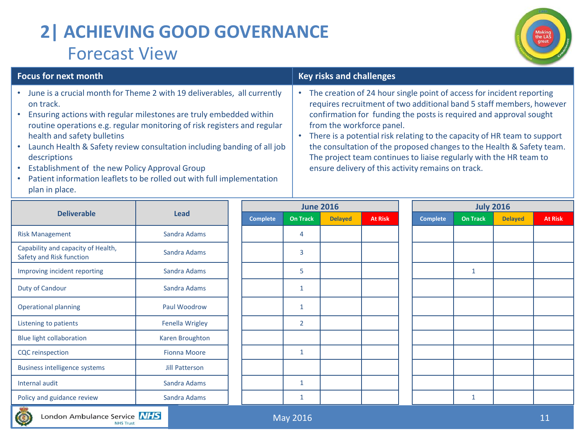# **2| ACHIEVING GOOD GOVERNANCE** Forecast View



| <b>Focus for next month</b>                                                                                                                                                                                                                                                                                                                                                                                                                                                                                    |             | <b>Key risks and challenges</b> |                 |                                                                                                                                                                                                                                                                                                                                                                                                                                                                                                                                   |                |  |                 |                 |                  |                |
|----------------------------------------------------------------------------------------------------------------------------------------------------------------------------------------------------------------------------------------------------------------------------------------------------------------------------------------------------------------------------------------------------------------------------------------------------------------------------------------------------------------|-------------|---------------------------------|-----------------|-----------------------------------------------------------------------------------------------------------------------------------------------------------------------------------------------------------------------------------------------------------------------------------------------------------------------------------------------------------------------------------------------------------------------------------------------------------------------------------------------------------------------------------|----------------|--|-----------------|-----------------|------------------|----------------|
| June is a crucial month for Theme 2 with 19 deliverables, all currently<br>on track.<br>Ensuring actions with regular milestones are truly embedded within<br>routine operations e.g. regular monitoring of risk registers and regular<br>health and safety bulletins<br>Launch Health & Safety review consultation including banding of all job<br>descriptions<br>Establishment of the new Policy Approval Group<br>Patient information leaflets to be rolled out with full implementation<br>plan in place. |             |                                 |                 | The creation of 24 hour single point of access for incident reporting<br>requires recruitment of two additional band 5 staff members, however<br>confirmation for funding the posts is required and approval sought<br>from the workforce panel.<br>There is a potential risk relating to the capacity of HR team to support<br>the consultation of the proposed changes to the Health & Safety team.<br>The project team continues to liaise regularly with the HR team to<br>ensure delivery of this activity remains on track. |                |  |                 |                 |                  |                |
|                                                                                                                                                                                                                                                                                                                                                                                                                                                                                                                |             |                                 |                 |                                                                                                                                                                                                                                                                                                                                                                                                                                                                                                                                   |                |  |                 |                 | <b>July 2016</b> |                |
| <b>Deliverable</b>                                                                                                                                                                                                                                                                                                                                                                                                                                                                                             | <b>Lead</b> | Complete                        | <b>On Track</b> | <b>Delaved</b>                                                                                                                                                                                                                                                                                                                                                                                                                                                                                                                    | <b>At Risk</b> |  | <b>Complete</b> | <b>On Track</b> | <b>Delaved</b>   | <b>At Risk</b> |

|                                                                | <b>Lead</b>         |                 | <b>June 2016</b> |                |                | <b>July 2016</b> |                 |                |                |  |
|----------------------------------------------------------------|---------------------|-----------------|------------------|----------------|----------------|------------------|-----------------|----------------|----------------|--|
| <b>Deliverable</b>                                             |                     | <b>Complete</b> | <b>On Track</b>  | <b>Delayed</b> | <b>At Risk</b> | <b>Complete</b>  | <b>On Track</b> | <b>Delayed</b> | <b>At Risk</b> |  |
| <b>Risk Management</b>                                         | Sandra Adams        |                 | 4                |                |                |                  |                 |                |                |  |
| Capability and capacity of Health,<br>Safety and Risk function | Sandra Adams        |                 | 3                |                |                |                  |                 |                |                |  |
| Improving incident reporting                                   | Sandra Adams        |                 | 5                |                |                |                  | $\mathbf{1}$    |                |                |  |
| Duty of Candour                                                | Sandra Adams        |                 | $\mathbf{1}$     |                |                |                  |                 |                |                |  |
| <b>Operational planning</b>                                    | Paul Woodrow        |                 | 1                |                |                |                  |                 |                |                |  |
| Listening to patients                                          | Fenella Wrigley     |                 | $\overline{2}$   |                |                |                  |                 |                |                |  |
| Blue light collaboration                                       | Karen Broughton     |                 |                  |                |                |                  |                 |                |                |  |
| <b>CQC</b> reinspection                                        | <b>Fionna Moore</b> |                 | 1                |                |                |                  |                 |                |                |  |
| <b>Business intelligence systems</b>                           | Jill Patterson      |                 |                  |                |                |                  |                 |                |                |  |
| Internal audit                                                 | Sandra Adams        |                 | $\mathbf{1}$     |                |                |                  |                 |                |                |  |
| Policy and guidance review                                     | Sandra Adams        |                 | 1                |                |                |                  | 1               |                |                |  |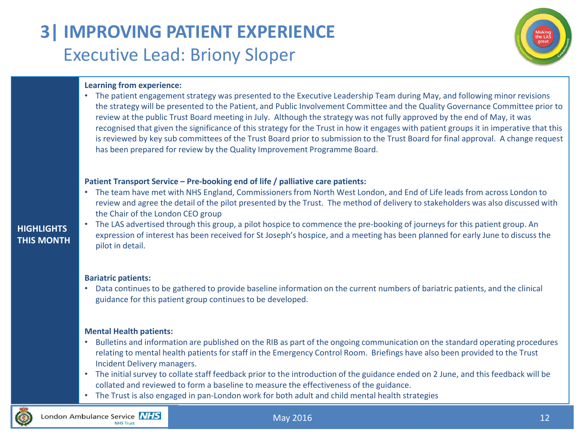# **3| IMPROVING PATIENT EXPERIENCE** Executive Lead: Briony Sloper



#### **Learning from experience:**

• The patient engagement strategy was presented to the Executive Leadership Team during May, and following minor revisions the strategy will be presented to the Patient, and Public Involvement Committee and the Quality Governance Committee prior to review at the public Trust Board meeting in July. Although the strategy was not fully approved by the end of May, it was recognised that given the significance of this strategy for the Trust in how it engages with patient groups it in imperative that this is reviewed by key sub committees of the Trust Board prior to submission to the Trust Board for final approval. A change request has been prepared for review by the Quality Improvement Programme Board.

#### **Patient Transport Service – Pre-booking end of life / palliative care patients:**

• The team have met with NHS England, Commissioners from North West London, and End of Life leads from across London to review and agree the detail of the pilot presented by the Trust. The method of delivery to stakeholders was also discussed with the Chair of the London CEO group

### **HIGHLIGHTS THIS MONTH**

• The LAS advertised through this group, a pilot hospice to commence the pre-booking of journeys for this patient group. An expression of interest has been received for St Joseph's hospice, and a meeting has been planned for early June to discuss the pilot in detail.

#### **Bariatric patients:**

• Data continues to be gathered to provide baseline information on the current numbers of bariatric patients, and the clinical guidance for this patient group continues to be developed.

#### **Mental Health patients:**

- Bulletins and information are published on the RIB as part of the ongoing communication on the standard operating procedures relating to mental health patients for staff in the Emergency Control Room. Briefings have also been provided to the Trust Incident Delivery managers.
- The initial survey to collate staff feedback prior to the introduction of the guidance ended on 2 June, and this feedback will be collated and reviewed to form a baseline to measure the effectiveness of the guidance.
- The Trust is also engaged in pan-London work for both adult and child mental health strategies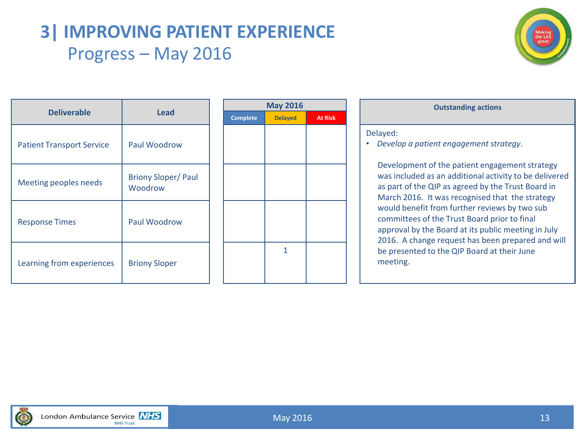### **3| IMPROVING PATIENT EXPERIENCE** Progress – May 2016



| <b>Deliverable</b>               | Lead                                 |
|----------------------------------|--------------------------------------|
| <b>Patient Transport Service</b> | Paul Woodrow                         |
| Meeting peoples needs            | <b>Briony Sloper/Paul</b><br>Woodrow |
| <b>Response Times</b>            | Paul Woodrow                         |
| Learning from experiences        | <b>Briony Sloper</b>                 |

|                 | <b>May 2016</b> |                | <b>Outstanding actions</b>                                                                                                                                                                                                                                                                                                                                                                                    |
|-----------------|-----------------|----------------|---------------------------------------------------------------------------------------------------------------------------------------------------------------------------------------------------------------------------------------------------------------------------------------------------------------------------------------------------------------------------------------------------------------|
| <b>Complete</b> | <b>Delayed</b>  | <b>At Risk</b> |                                                                                                                                                                                                                                                                                                                                                                                                               |
|                 | 1               |                | Delayed:<br>Develop a patient engagement stra<br>Development of the patient engag<br>was included as an additional activ<br>as part of the QIP as agreed by the<br>March 2016. It was recognised that<br>would benefit from further review<br>committees of the Trust Board prior<br>approval by the Board at its public<br>2016. A change request has been<br>be presented to the QIP Board at t<br>meeting. |
|                 |                 |                |                                                                                                                                                                                                                                                                                                                                                                                                               |

| <b>Outstanding actions</b>                         |
|----------------------------------------------------|
| Delayed:<br>Develop a patient engagement strategy. |

Development of the patient engagement strategy was included as an additional activity to be delivered as part of the QIP as agreed by the Trust Board in March 2016. It was recognised that the strategy would benefit from further reviews by two sub committees of the Trust Board prior to final approval by the Board at its public meeting in July 2016. A change request has been prepared and will be presented to the QIP Board at their June meeting.

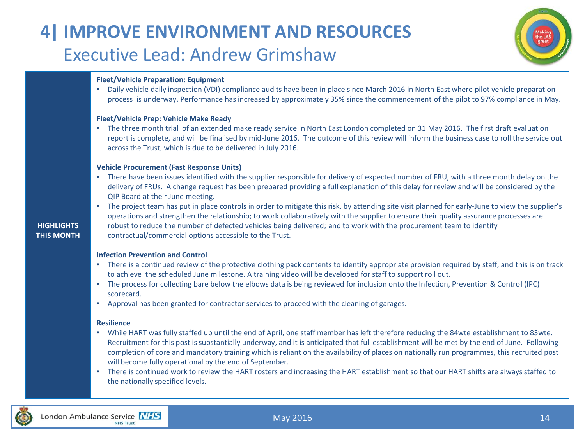### **4| IMPROVE ENVIRONMENT AND RESOURCES** Executive Lead: Andrew Grimshaw



#### **Fleet/Vehicle Preparation: Equipment**

• Daily vehicle daily inspection (VDI) compliance audits have been in place since March 2016 in North East where pilot vehicle preparation process is underway. Performance has increased by approximately 35% since the commencement of the pilot to 97% compliance in May.

#### **Fleet/Vehicle Prep: Vehicle Make Ready**

• The three month trial of an extended make ready service in North East London completed on 31 May 2016. The first draft evaluation report is complete, and will be finalised by mid-June 2016. The outcome of this review will inform the business case to roll the service out across the Trust, which is due to be delivered in July 2016.

#### **Vehicle Procurement (Fast Response Units)**

- There have been issues identified with the supplier responsible for delivery of expected number of FRU, with a three month delay on the delivery of FRUs. A change request has been prepared providing a full explanation of this delay for review and will be considered by the QIP Board at their June meeting.
- The project team has put in place controls in order to mitigate this risk, by attending site visit planned for early-June to view the supplier's operations and strengthen the relationship; to work collaboratively with the supplier to ensure their quality assurance processes are robust to reduce the number of defected vehicles being delivered; and to work with the procurement team to identify contractual/commercial options accessible to the Trust.

#### **Infection Prevention and Control**

- There is a continued review of the protective clothing pack contents to identify appropriate provision required by staff, and this is on track to achieve the scheduled June milestone. A training video will be developed for staff to support roll out.
- The process for collecting bare below the elbows data is being reviewed for inclusion onto the Infection, Prevention & Control (IPC) scorecard.
- Approval has been granted for contractor services to proceed with the cleaning of garages.

#### **Resilience**

- While HART was fully staffed up until the end of April, one staff member has left therefore reducing the 84wte establishment to 83wte. Recruitment for this post is substantially underway, and it is anticipated that full establishment will be met by the end of June. Following completion of core and mandatory training which is reliant on the availability of places on nationally run programmes, this recruited post will become fully operational by the end of September.
- There is continued work to review the HART rosters and increasing the HART establishment so that our HART shifts are always staffed to the nationally specified levels.

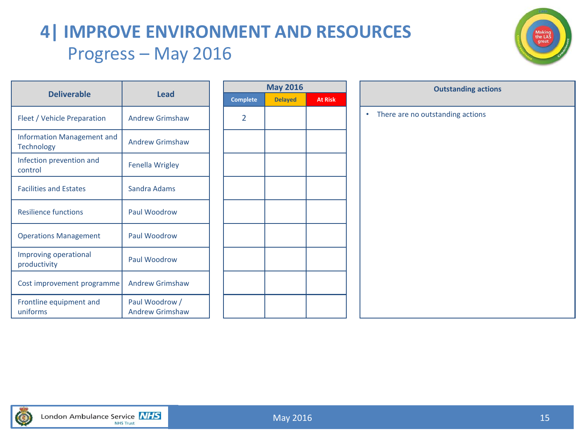# **4| IMPROVE ENVIRONMENT AND RESOURCES** Progress – May 2016



| <b>Deliverable</b>                                     | Lead                                     |      |
|--------------------------------------------------------|------------------------------------------|------|
|                                                        |                                          | Comp |
| Fleet / Vehicle Preparation                            | <b>Andrew Grimshaw</b>                   | 2    |
| <b>Information Management and</b><br><b>Technology</b> | <b>Andrew Grimshaw</b>                   |      |
| Infection prevention and<br>control                    | <b>Fenella Wrigley</b>                   |      |
| <b>Facilities and Estates</b>                          | Sandra Adams                             |      |
| <b>Resilience functions</b>                            | Paul Woodrow                             |      |
| <b>Operations Management</b>                           | Paul Woodrow                             |      |
| Improving operational<br>productivity                  | Paul Woodrow                             |      |
| Cost improvement programme                             | <b>Andrew Grimshaw</b>                   |      |
| Frontline equipment and<br>uniforms                    | Paul Woodrow /<br><b>Andrew Grimshaw</b> |      |

| <b>May 2016</b> |                |                |  |  |  |  |
|-----------------|----------------|----------------|--|--|--|--|
| <b>Complete</b> | <b>Delayed</b> | <b>At Risk</b> |  |  |  |  |
| $\overline{2}$  |                |                |  |  |  |  |
|                 |                |                |  |  |  |  |
|                 |                |                |  |  |  |  |
|                 |                |                |  |  |  |  |
|                 |                |                |  |  |  |  |
|                 |                |                |  |  |  |  |
|                 |                |                |  |  |  |  |
|                 |                |                |  |  |  |  |
|                 |                |                |  |  |  |  |

| <b>May 2016</b> |                | <b>Outstanding actions</b>                    |
|-----------------|----------------|-----------------------------------------------|
| <b>Delayed</b>  | <b>At Risk</b> |                                               |
|                 |                | There are no outstanding actions<br>$\bullet$ |
|                 |                |                                               |
|                 |                |                                               |
|                 |                |                                               |
|                 |                |                                               |
|                 |                |                                               |
|                 |                |                                               |
|                 |                |                                               |
|                 |                |                                               |
|                 |                |                                               |
|                 |                |                                               |
|                 |                |                                               |
|                 |                |                                               |
|                 |                |                                               |
|                 |                |                                               |
|                 |                |                                               |

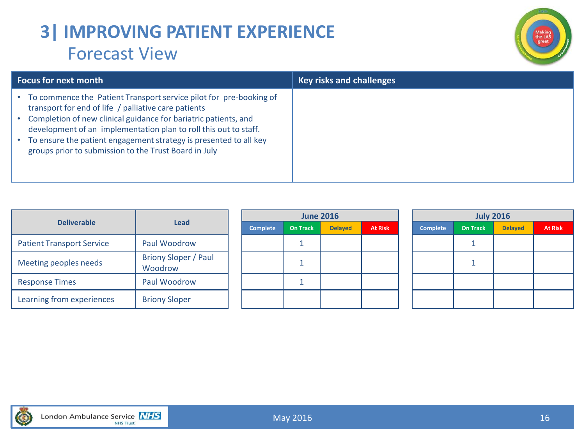### **3| IMPROVING PATIENT EXPERIENCE** Forecast View



| <b>Focus for next month</b>                                                                                                                                                                                                                                                                                                                                                                     | <b>Key risks and challenges</b> |
|-------------------------------------------------------------------------------------------------------------------------------------------------------------------------------------------------------------------------------------------------------------------------------------------------------------------------------------------------------------------------------------------------|---------------------------------|
| To commence the Patient Transport service pilot for pre-booking of<br>transport for end of life / palliative care patients<br>Completion of new clinical guidance for bariatric patients, and<br>development of an implementation plan to roll this out to staff.<br>To ensure the patient engagement strategy is presented to all key<br>groups prior to submission to the Trust Board in July |                                 |

|                                  | Lead                                   | <b>June 2016</b> |                 |                |                |  | <b>July 2016</b> |                 |                |                |  |
|----------------------------------|----------------------------------------|------------------|-----------------|----------------|----------------|--|------------------|-----------------|----------------|----------------|--|
| <b>Deliverable</b>               |                                        | <b>Complete</b>  | <b>On Track</b> | <b>Delayed</b> | <b>At Risk</b> |  | <b>Complete</b>  | <b>On Track</b> | <b>Delayed</b> | <b>At Risk</b> |  |
| <b>Patient Transport Service</b> | Paul Woodrow                           |                  |                 |                |                |  |                  |                 |                |                |  |
| Meeting peoples needs            | <b>Briony Sloper / Paul</b><br>Woodrow |                  |                 |                |                |  |                  |                 |                |                |  |
| <b>Response Times</b>            | Paul Woodrow                           |                  |                 |                |                |  |                  |                 |                |                |  |
| Learning from experiences        | <b>Briony Sloper</b>                   |                  |                 |                |                |  |                  |                 |                |                |  |

| <b>July 2016</b> |                 |                |                |  |  |  |  |  |
|------------------|-----------------|----------------|----------------|--|--|--|--|--|
| <b>Complete</b>  | <b>On Track</b> | <b>Delayed</b> | <b>At Risk</b> |  |  |  |  |  |
|                  |                 |                |                |  |  |  |  |  |
|                  |                 |                |                |  |  |  |  |  |
|                  |                 |                |                |  |  |  |  |  |
|                  |                 |                |                |  |  |  |  |  |

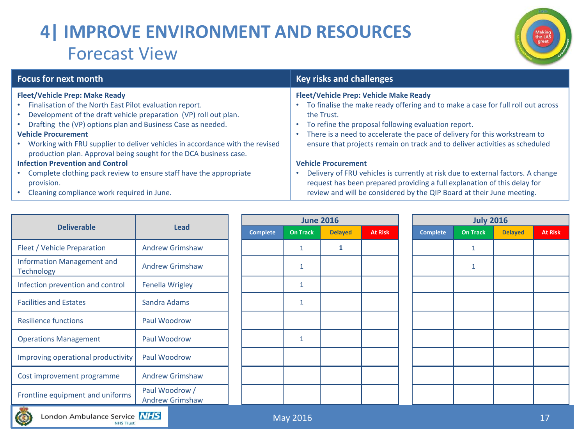# **4| IMPROVE ENVIRONMENT AND RESOURCES** Forecast View



| <b>Focus for next month</b>                                                                                                                       | <b>Key risks and challenges</b>                                                                                                                             |
|---------------------------------------------------------------------------------------------------------------------------------------------------|-------------------------------------------------------------------------------------------------------------------------------------------------------------|
| <b>Fleet/Vehicle Prep: Make Ready</b>                                                                                                             | <b>Fleet/Vehicle Prep: Vehicle Make Ready</b>                                                                                                               |
| Finalisation of the North East Pilot evaluation report.                                                                                           | To finalise the make ready offering and to make a case for full roll out across                                                                             |
| Development of the draft vehicle preparation (VP) roll out plan.                                                                                  | the Trust.                                                                                                                                                  |
| Drafting the (VP) options plan and Business Case as needed.                                                                                       | To refine the proposal following evaluation report.                                                                                                         |
| <b>Vehicle Procurement</b>                                                                                                                        | There is a need to accelerate the pace of delivery for this workstream to                                                                                   |
| Working with FRU supplier to deliver vehicles in accordance with the revised<br>production plan. Approval being sought for the DCA business case. | ensure that projects remain on track and to deliver activities as scheduled                                                                                 |
| <b>Infection Prevention and Control</b>                                                                                                           | <b>Vehicle Procurement</b>                                                                                                                                  |
| Complete clothing pack review to ensure staff have the appropriate<br>provision.                                                                  | Delivery of FRU vehicles is currently at risk due to external factors. A change<br>request has been prepared providing a full explanation of this delay for |
| Cleaning compliance work required in June.                                                                                                        | review and will be considered by the QIP Board at their June meeting.                                                                                       |

|                                                     | <b>Lead</b>                              | <b>June 2016</b> |                 |                |                |  | <b>July 2016</b> |                 |                |                |  |
|-----------------------------------------------------|------------------------------------------|------------------|-----------------|----------------|----------------|--|------------------|-----------------|----------------|----------------|--|
| <b>Deliverable</b>                                  |                                          | <b>Complete</b>  | <b>On Track</b> | <b>Delayed</b> | <b>At Risk</b> |  | <b>Complete</b>  | <b>On Track</b> | <b>Delayed</b> | <b>At Risk</b> |  |
| Fleet / Vehicle Preparation                         | <b>Andrew Grimshaw</b>                   |                  | 1               |                |                |  |                  | $\mathbf{1}$    |                |                |  |
| Information Management and<br>Technology            | <b>Andrew Grimshaw</b>                   |                  | $\mathbf{1}$    |                |                |  |                  | $\mathbf{1}$    |                |                |  |
| Infection prevention and control                    | <b>Fenella Wrigley</b>                   |                  | $\mathbf{1}$    |                |                |  |                  |                 |                |                |  |
| <b>Facilities and Estates</b>                       | Sandra Adams                             |                  | $\mathbf{1}$    |                |                |  |                  |                 |                |                |  |
| <b>Resilience functions</b>                         | Paul Woodrow                             |                  |                 |                |                |  |                  |                 |                |                |  |
| <b>Operations Management</b>                        | Paul Woodrow                             |                  | $\mathbf{1}$    |                |                |  |                  |                 |                |                |  |
| Improving operational productivity                  | Paul Woodrow                             |                  |                 |                |                |  |                  |                 |                |                |  |
| Cost improvement programme                          | <b>Andrew Grimshaw</b>                   |                  |                 |                |                |  |                  |                 |                |                |  |
| Frontline equipment and uniforms<br><b>Contract</b> | Paul Woodrow /<br><b>Andrew Grimshaw</b> |                  |                 |                |                |  |                  |                 |                |                |  |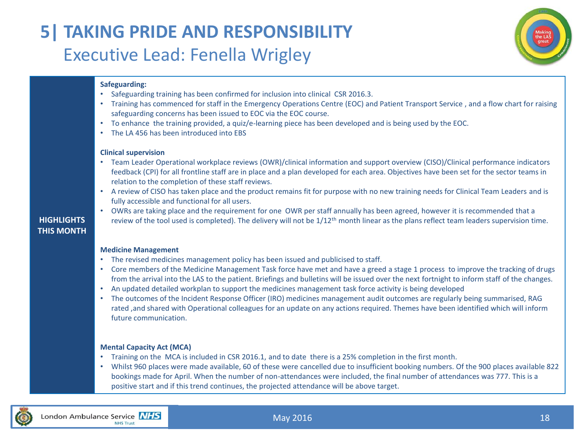### **5| TAKING PRIDE AND RESPONSIBILITY** Executive Lead: Fenella Wrigley



#### **Safeguarding:**

- Safeguarding training has been confirmed for inclusion into clinical CSR 2016.3.
- Training has commenced for staff in the Emergency Operations Centre (EOC) and Patient Transport Service , and a flow chart for raising safeguarding concerns has been issued to EOC via the EOC course.
- To enhance the training provided, a quiz/e-learning piece has been developed and is being used by the EOC.
- The LA 456 has been introduced into EBS

#### **Clinical supervision**

- Team Leader Operational workplace reviews (OWR)/clinical information and support overview (CISO)/Clinical performance indicators feedback (CPI) for all frontline staff are in place and a plan developed for each area. Objectives have been set for the sector teams in relation to the completion of these staff reviews.
- A review of CISO has taken place and the product remains fit for purpose with no new training needs for Clinical Team Leaders and is fully accessible and functional for all users.

### **HIGHLIGHTS THIS MONTH**

• OWRs are taking place and the requirement for one OWR per staff annually has been agreed, however it is recommended that a review of the tool used is completed). The delivery will not be  $1/12<sup>th</sup>$  month linear as the plans reflect team leaders supervision time.

#### **Medicine Management**

- The revised medicines management policy has been issued and publicised to staff.
- Core members of the Medicine Management Task force have met and have a greed a stage 1 process to improve the tracking of drugs from the arrival into the LAS to the patient. Briefings and bulletins will be issued over the next fortnight to inform staff of the changes.
- An updated detailed workplan to support the medicines management task force activity is being developed
- The outcomes of the Incident Response Officer (IRO) medicines management audit outcomes are regularly being summarised, RAG rated ,and shared with Operational colleagues for an update on any actions required. Themes have been identified which will inform future communication.

#### **Mental Capacity Act (MCA)**

- Training on the MCA is included in CSR 2016.1, and to date there is a 25% completion in the first month.
- Whilst 960 places were made available, 60 of these were cancelled due to insufficient booking numbers. Of the 900 places available 822 bookings made for April. When the number of non-attendances were included, the final number of attendances was 777. This is a positive start and if this trend continues, the projected attendance will be above target.

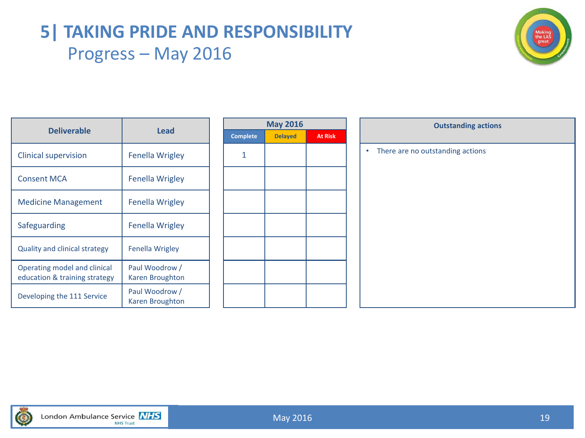### **5| TAKING PRIDE AND RESPONSIBILITY** Progress – May 2016



| <b>Deliverable</b>                                            | Lead                                     | Comp |
|---------------------------------------------------------------|------------------------------------------|------|
| Clinical supervision                                          | <b>Fenella Wrigley</b>                   | 1    |
| <b>Consent MCA</b>                                            | Fenella Wrigley                          |      |
| <b>Medicine Management</b>                                    | Fenella Wrigley                          |      |
| Safeguarding                                                  | Fenella Wrigley                          |      |
| <b>Quality and clinical strategy</b>                          | Fenella Wrigley                          |      |
| Operating model and clinical<br>education & training strategy | Paul Woodrow /<br>Karen Broughton        |      |
| Developing the 111 Service                                    | Paul Woodrow /<br><b>Karen Broughton</b> |      |

| <b>May 2016</b> |                |                |  |  |  |
|-----------------|----------------|----------------|--|--|--|
| <b>Complete</b> | <b>Delayed</b> | <b>At Risk</b> |  |  |  |
| 1               |                |                |  |  |  |
|                 |                |                |  |  |  |
|                 |                |                |  |  |  |
|                 |                |                |  |  |  |
|                 |                |                |  |  |  |
|                 |                |                |  |  |  |
|                 |                |                |  |  |  |
|                 |                |                |  |  |  |
|                 |                |                |  |  |  |
|                 |                |                |  |  |  |
|                 |                |                |  |  |  |

| <b>May 2016</b> |                | <b>Outstanding actions</b>            |  |  |  |  |
|-----------------|----------------|---------------------------------------|--|--|--|--|
| <b>Delayed</b>  | <b>At Risk</b> |                                       |  |  |  |  |
|                 |                | There are no outstanding actions<br>۰ |  |  |  |  |
|                 |                |                                       |  |  |  |  |
|                 |                |                                       |  |  |  |  |
|                 |                |                                       |  |  |  |  |
|                 |                |                                       |  |  |  |  |
|                 |                |                                       |  |  |  |  |
|                 |                |                                       |  |  |  |  |
|                 |                |                                       |  |  |  |  |
|                 |                |                                       |  |  |  |  |
|                 |                |                                       |  |  |  |  |
|                 |                |                                       |  |  |  |  |
|                 |                |                                       |  |  |  |  |
|                 |                |                                       |  |  |  |  |